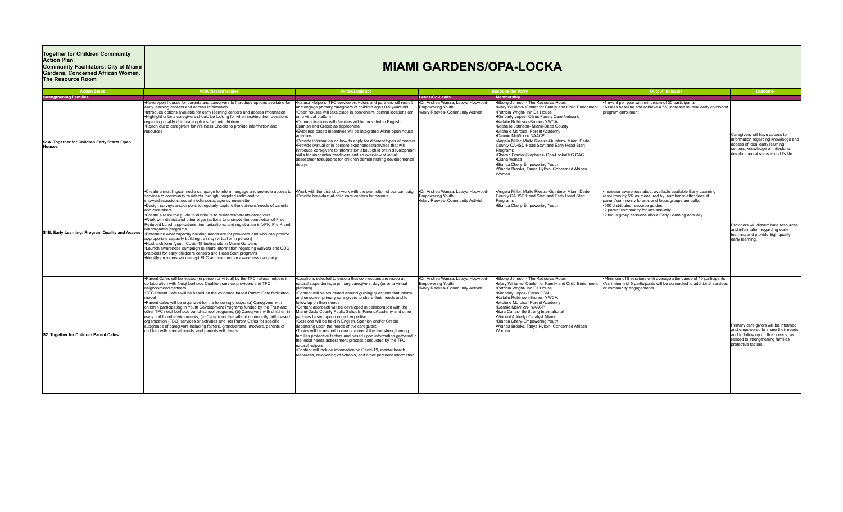## **Together for Children Community Action Plan Community Facilitators: City of Miami Gardens, Concerned African Women, The Resource Room**

## **MIAMI GARDENS/OPA-LOCKA**

| <b>Action Steps</b>                                           | <b>Activities/Strategies</b>                                                                                                                                                                                                                                                                                                                                                                                                                                                                                                                                                                                                                                                                                                                                                                                                                                                                                                                                                                                                                                                                                                                | <b>Notes/Logistics</b>                                                                                                                                                                                                                                                                                                                                                                                                                                                                                                                                                                                                                                                                                                                                                                                                                                                                                                                                    |                                                                                                  | <b>Responsible Party</b>                                                                                                                                                                                                                                                                                                                                                                                                                                                                                                                                                                         | <b>Output Indicator</b>                                                                                                                                                                                                                                                                                        | Outcome                                                                                                                                                                            |
|---------------------------------------------------------------|---------------------------------------------------------------------------------------------------------------------------------------------------------------------------------------------------------------------------------------------------------------------------------------------------------------------------------------------------------------------------------------------------------------------------------------------------------------------------------------------------------------------------------------------------------------------------------------------------------------------------------------------------------------------------------------------------------------------------------------------------------------------------------------------------------------------------------------------------------------------------------------------------------------------------------------------------------------------------------------------------------------------------------------------------------------------------------------------------------------------------------------------|-----------------------------------------------------------------------------------------------------------------------------------------------------------------------------------------------------------------------------------------------------------------------------------------------------------------------------------------------------------------------------------------------------------------------------------------------------------------------------------------------------------------------------------------------------------------------------------------------------------------------------------------------------------------------------------------------------------------------------------------------------------------------------------------------------------------------------------------------------------------------------------------------------------------------------------------------------------|--------------------------------------------------------------------------------------------------|--------------------------------------------------------------------------------------------------------------------------------------------------------------------------------------------------------------------------------------------------------------------------------------------------------------------------------------------------------------------------------------------------------------------------------------------------------------------------------------------------------------------------------------------------------------------------------------------------|----------------------------------------------------------------------------------------------------------------------------------------------------------------------------------------------------------------------------------------------------------------------------------------------------------------|------------------------------------------------------------------------------------------------------------------------------------------------------------------------------------|
| <b>Strengthening Families</b>                                 |                                                                                                                                                                                                                                                                                                                                                                                                                                                                                                                                                                                                                                                                                                                                                                                                                                                                                                                                                                                                                                                                                                                                             |                                                                                                                                                                                                                                                                                                                                                                                                                                                                                                                                                                                                                                                                                                                                                                                                                                                                                                                                                           | Leads/Co-Leads                                                                                   | <b>Membership</b>                                                                                                                                                                                                                                                                                                                                                                                                                                                                                                                                                                                |                                                                                                                                                                                                                                                                                                                |                                                                                                                                                                                    |
| S1A. Together for Children Early Starts Open<br><b>Houses</b> | . Have open houses for parents and caregivers to Introduce options available for<br>early learning centers and access information<br>•Introduce options available for early learning centers and access information<br>.Highlight criteria caregivers should be looking for when making their decisions<br>regarding quality child care options for their children<br>*Reach out to caregivers for Wellness Checks to provide information and<br>resources                                                                                                                                                                                                                                                                                                                                                                                                                                                                                                                                                                                                                                                                                  | •Natural Helpers, TFC service providers and partners will recruit<br>and engage primary caregivers of children ages 0-5 years old<br>+Open houses will take place in convenient, central locations (or<br>on a virtual platform)<br>•Communications with families will be provided in English,<br>Spanish and Creole as appropriate<br>-Evidence-based incentives will be integrated within open house<br>activities<br>. Provide information on how to apply for different types of centers<br>. Provide (virtual or in person) experiences/activities that will<br>introduce caregivers to information about child brain development,<br>skills for kindgarten readiness and an overview of initial<br>assessments/supports for children demonstrating developmental<br>delavs                                                                                                                                                                          | *Dr. Andrea Wanza, Latova Hopwood-<br><b>Empowering Youth</b><br>Mary Reeves- Community Activist | *Ebony Johnson- The Resource Room<br>.Mary Williams- Center for Family and Child Enrichment<br>•Patricia Wright- Inn Da House<br>*Kimberly Lopez- Citrus Family Care Network<br>Natalie Robinson-Bruner- YWCA<br>·Michelle Johnson- Miami-Dade County<br>·Michele Mordica- Parent Academy<br>*Dannie McMillon-NAACP<br>*Angela Miller, Maite Riestra-Quintero- Miami Dade<br>County CAHSD Head Start and Early Head Start<br>Programs<br>·Sharon Frazier-Stephens- Opa-Locka/MG CAC<br>•Diana Wanza<br>*Bianca Chery-Empowering Youth<br>.Wanda Brooks, Tanya Hylton- Concerned African<br>Women | 1 event per year with minumum of 30 participants<br>*Assess baseline and achieve a 5% increase in local early childhood<br>program enrollment                                                                                                                                                                  | Caregivers will have access to<br>information regarding knowledge and<br>access of local early learning<br>centers; knowledge of milestone<br>developmental steps in child's life. |
| S1B. Early Learning: Program Quality and Access               | •Create a multilingual media campaign to inform, engage and promote access to  •Work with the district to work with the promotion of our campaign  •Dr. Andrea Wanza, Latoya Hopwood-<br>services to community residents through: targeted radio and tv<br>shows/discussions, social media posts, agency newsletter<br>. Design surveys and/or polls to regularly capture the opinions/needs of parents<br>and caretakers<br>•Create a resource quide to distribute to residents/parents/caregivers<br>. Work with district and other organizations to promote the completion of Free<br>Reduced Lunch applications, immunizations, and registration in VPK, Pre K and<br>Kindergarten programs.<br>•Determine what capacity building needs are for providers and who can provide<br>approporiate capacity building training (virtual or in person)<br>. Host a children/youth Covid-19 testing site in Miami Gardens<br>•Launch awareness campaign to share information regarding waivers and CDC<br>protocols for early childcare centers and Head Start programs<br>•Identify providers who accept ELC and conduct an awareness campaign | -Provide breakfast at child care centers for parents                                                                                                                                                                                                                                                                                                                                                                                                                                                                                                                                                                                                                                                                                                                                                                                                                                                                                                      | Empowering Youth<br>.Mary Reeves- Community Activist                                             | *Angela Miller, Maite Riestra-Quintero- Miami Dade<br>County CAHSD Head Start and Early Head Start<br>Programs<br>•Bianca Chery-Empowering Youth                                                                                                                                                                                                                                                                                                                                                                                                                                                 | Increase awareness about available available Early Learning<br>resources by 5% as measured by number of attendees at<br>parent/community forums and focus groups annually.<br>•500 distributed resource quides<br>*2 parent/community forums annually<br>*2 focus group sessions about Early Learning annually | Providers will disseminate resources<br>and information regarding early<br>learning and provide high quality<br>early learning.                                                    |
| S2. Together for Children Parent Cafes                        | •Parent Cafes will be hosted (in person or virtual) by the TFC natural helpers in<br>collaboration with Neighborhood Coalition service providers and TFC<br>neighborhood partners<br>. TFC Parent Cafes will be based on the evidence based Parent Cafe facilitaton<br>model<br>*Parent cafes will be organized for the following groups: (a) Caregivers with<br>children participating in Youth Development Programs funded by the Trust and<br>other TFC neighborhood out-of-school programs; (b) Caregivers with children in<br>early childhood environments; (c) Caregivers that attend community faith-based<br>organization (FBO) services or activities and; (d) Parent Cafes for specific<br>subgroups of caregivers including fathers, grandparents, mothers, parents of<br>children with special needs, and parents with teens                                                                                                                                                                                                                                                                                                    | -Locations selected to ensure that connections are made at<br>natural stops during a primary caregivers' day (or on a virtual<br>platform)<br>•Content will be structured around quiding questions that inform<br>and empower primary care givers to share their needs and to<br>follow up on their needs<br>•Content approach will be developed in collaboration with the<br>Miami-Dade County Public Schools' Parent Academy and other<br>partners based upon content expertise<br>•Sessions will be held in English, Spanish and/or Creole<br>depending upon the needs of the caregivers<br>•Topics will be related to one or more of the five strengthening<br>families protective factors and based upon information gathered in<br>the initial needs assessment process conducted by the TFC<br>natural helpers<br>Content will include information on Covid-19, mental health<br>resources, re-opening of schools, and other pertinent information | .Dr. Andrea Wanza, Latova Hopwood-<br>Empowering Youth<br>.Mary Reeves- Community Activist       | .Ebony Johnson- The Resource Room<br>.Mary Williams- Center for Family and Child Enrichment<br>*Patricia Wright- Inn Da House<br>Kimberly Lopez- Citrus FCN<br>Natalie Robinson-Bruner- YWCA<br>·Michele Mordica- Parent Academy<br>*Dannie McMillon- NAACP<br>*Ezra Carias- Be Strong International<br>·Vincent Adderly- Catalyst Miami<br>*Bianca Chery-Empowering Youth<br>.Wanda Brooks, Tanya Hylton- Concerned African<br>Women                                                                                                                                                            | •Minimum of 5 sessions with average attendance of 10 participants<br>•A miminum of 5 participants will be connected to additional services<br>or community engagements                                                                                                                                         | Primary care givers will be informed<br>and empowered to share their needs<br>and to follow up on their needs, as<br>related to strengthening families<br>protective factors.      |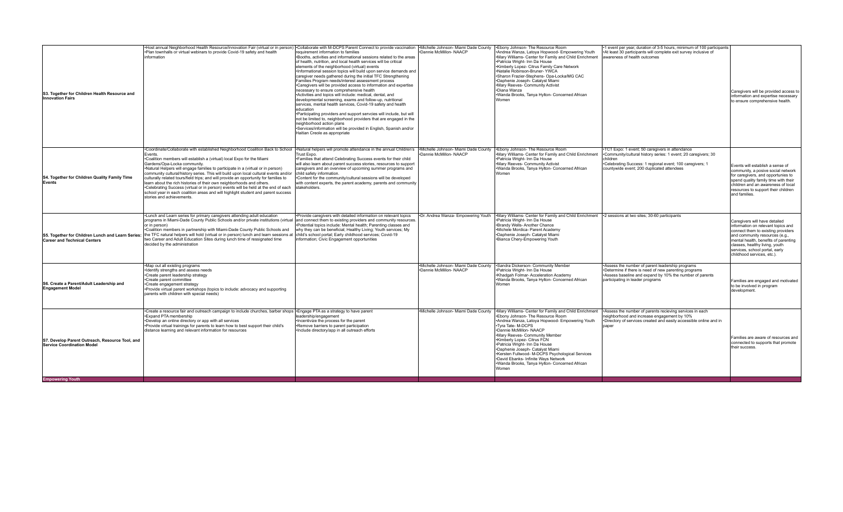| not be limited to, neighborhood providers that are engaged in the<br>neighborhood action plans<br>*Services/information will be provided in English, Spanish and/or<br>Haitian Creole as appropriate                                                                                                                                                                                                                                                                                                                                                                                                                                                                                                                                                                                                                                                                                                                                                                                                                                                                                                                                                                                                                                                                                                                                                                                                                                                                                                                                                                                                                                                                                                                                                                                                                                  |                                                                                                                                                                                                                                                                                       |
|---------------------------------------------------------------------------------------------------------------------------------------------------------------------------------------------------------------------------------------------------------------------------------------------------------------------------------------------------------------------------------------------------------------------------------------------------------------------------------------------------------------------------------------------------------------------------------------------------------------------------------------------------------------------------------------------------------------------------------------------------------------------------------------------------------------------------------------------------------------------------------------------------------------------------------------------------------------------------------------------------------------------------------------------------------------------------------------------------------------------------------------------------------------------------------------------------------------------------------------------------------------------------------------------------------------------------------------------------------------------------------------------------------------------------------------------------------------------------------------------------------------------------------------------------------------------------------------------------------------------------------------------------------------------------------------------------------------------------------------------------------------------------------------------------------------------------------------|---------------------------------------------------------------------------------------------------------------------------------------------------------------------------------------------------------------------------------------------------------------------------------------|
| Coordinate/Collaborate with established Neighborhood Coalition Back to School   Natural helpers will promote attendance in the annual Children's   Michelle Johnson- Miami Dade County<br>.Ebony Johnson- The Resource Room<br>TCT Expo: 1 event; 50 caregivers in attendance<br>Dannie McMillon-NAACP<br>Mary Williams- Center for Family and Child Enrichment<br>.Community/cultural history series: 1 event; 20 caregivers; 30<br>Fvents.<br>Trust Expo.<br>.Coalition members will establish a (virtual) local Expo for the Miami<br>*Families that attend Celebrating Success events for their child<br>•Patricia Wright- Inn Da House<br>children<br>•Mary Reeves- Community Activist<br>.Celebrating Success: 1 regional event; 100 caregivers; 1<br>Gardens/Opa-Locka community.<br>will also learn about parent success stories, resources to support<br>Wanda Brooks, Tanya Hylton- Concerned African<br>caregivers and an overview of upcoming summer programs and<br>countywide event; 200 duplicated attendees<br>•Natural Helpers will engage families to participate in a (virtual or in person)<br>community cultural/history series. This will build upon local cultural events and/or child safety information.<br>Women<br>S4. Together for Children Quality Family Time<br>culturally related tours/field trips; and will provide an opportunity for families to<br>.Content for the community/cultural sessions will be developed<br>Events<br>learn about the rich histories of their own neighborhoods and others.<br>with content experts, the parent academy, parents and community<br>•Celebrating Success (virtual or in person) events will be held at the end of each<br>stakeholders.<br>school year in each coalition areas and will highlight student and parent success<br>stories and achievements. | Events will establish a sense of<br>community, a posive social network<br>for caregivers, and opportunies to<br>spend quality family time with their<br>children and an awareness of local<br>resources to support their children<br>and families.                                    |
| *Lunch and Learn series for primary caregivers attending adult education<br>Dr. Andrea Wanza- Empowering Youth<br>Mary Williams- Center for Family and Child Enrichment 12 sessions at two sites; 30-60 participants<br>Provide caregivers with detailed information on relevant topics<br>programs in Miami-Dade County Public Schools and/or private institutions (virtual and connect them to existing providers and community resources.<br>*Patricia Wright- Inn Da House<br><b>*Brandy Wells- Another Chance</b><br>Potential topics include: Mental health; Parenting classes and<br>or in person)<br>·Michele Mordica- Parent Academy<br>-Coalition members in partnership with Miami-Dade County Public Schools and<br>why they can be beneficial; Healthy Living; Youth services; My<br>S5. Together for Children Lunch and Learn Series:  the TFC natural helpers will hold (virtual or in person) lunch and learn sessions at  child's school portal; Early childhood services; Covid-19<br>•Daphenie Joseph- Catalyst Miami<br>two Career and Adult Education Sites during lunch time of ressignated time<br>information; Civic Engagement opportunities<br>•Bianca Chery-Empowering Youth<br><b>Career and Technical Centers</b><br>decided by the administration                                                                                                                                                                                                                                                                                                                                                                                                                                                                                                                                                       | Caregivers will have detailed<br>information on relevant topics and<br>connect them to existing providers<br>and community resources (e.g.,<br>mental health, benefits of parenting<br>classes, healthy living, youth<br>services, school portal, early<br>childhood services, etc.). |
| Map out all existing programs<br>•Michelle Johnson- Miami Dade County • Sandra Dickerson- Community Member<br>Assess the number of parent leadership programs<br>•Identify strengths and assess needs<br>.Dannie McMillon-NAACP<br>•Patricia Wright- Inn Da House<br>*Determine if there is need of new parenting programs<br>*Create parent leadership strategy<br>•Khadgah Folmar- Acceleration Academy<br>Assess baseline and expand by 10% the number of parents<br>Wanda Brooks, Tanya Hylton- Concerned African<br>*Create parent committee<br>participating in leader programs<br>S6. Create a Parent/Adult Leadership and<br>*Create engagement strategy<br>Women<br><b>Engagement Model</b><br>•Provide virtual parent workshops (topics to include: advocacy and supporting<br>parents with children with special needs)                                                                                                                                                                                                                                                                                                                                                                                                                                                                                                                                                                                                                                                                                                                                                                                                                                                                                                                                                                                                    | Families are engaged and motivated<br>to be involved in program<br>development.                                                                                                                                                                                                       |
| •Create a resource fair and outreach campaign to include churches, barber shops • Engage PTA as a strategy to have parent<br>•Michelle Johnson- Miami Dade County • Mary Williams- Center for Family and Child Enrichment<br>Assess the number of parents recieving services in each<br>*Ebony Johnson- The Resource Room<br>Expand PTA membership<br>leadership/engagement<br>eighborhood and increase engagement by 10%<br>•Incentivize the process for the parent<br>*Andrea Wanza, Latoya Hopwood- Empowering Youth<br>*Develop an online directory or app with all services<br>Directory of services created and easily accessible online and in<br>. Provide virtual trainings for parents to learn how to best support their child's<br>*Remove barriers to parent participation<br>·Tvra Tate- M-DCPS<br>naner<br>distance learning and relevant information for resources<br>Dannie McMillon-NAACP<br>·Include directory/app in all outreach efforts<br>Mary Reeves- Community Member<br>Kimberly Lopez- Citrus FCN<br>S7. Develop Parent Outreach, Resource Tool, and<br>•Patricia Wright- Inn Da House<br><b>Service Coordination Model</b><br>*Daphenie Joseph- Catalyst Miami<br>*Kersten Fullwood- M-DCPS Psychological Services<br>David Ebanks- Infinite Ways Network<br>Wanda Brooks, Tanya Hylton- Concerned African<br>Women<br><b>Empowering Youth</b>                                                                                                                                                                                                                                                                                                                                                                                                                                                            | Families are aware of resources and<br>connected to supports that promote<br>their success.                                                                                                                                                                                           |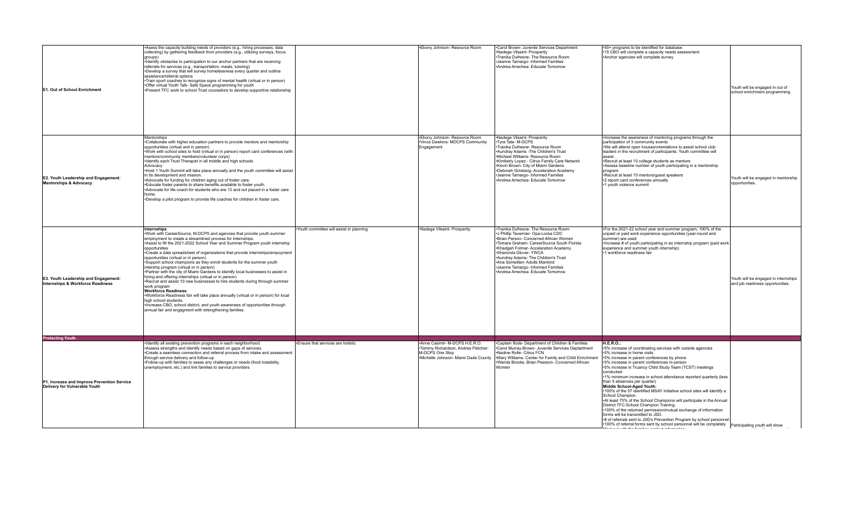| <b>E1. Out of School Enrichment</b>                                          | *Asess the capacity building needs of providers (e.g., hiring processes, data<br>collecting) by gathering feedback from providers (e.g., utilizing surveys, focus<br>groups)<br>·Identify obstacles to participation to our anchor partners that are receiving<br>referrals for services (e.g., transportation, meals, tutoring)<br>*Develop a survey that will survey homelessness every quarter and outline<br>assistance/referral options<br>•Train sport coaches to recognize signs of mental health (virtual or in person)<br>.Offer virtual Youth Talk- Safe Space programming for youth<br>•Present TFC work to school Trust counselors to develop supportive relationship                                                                                                                                                                                                                                                                                                                                                               |                                         | *Ebony Johnson- Resource Room                                                                                                 | .Carol Brown- Juvenile Services Department<br>•Nadege Vilsaint- Prosperity<br>.Tranika Dufresne- The Resource Room<br>*Jeanne Tamargo- Informed Families<br>*Andrea Arrechea- Educate Tomorrow                                                                                                                                                                                               | *50+ programs to be identified for database<br>•15 CBO will complete a capacity needs assessment<br>•Anchor agencies will complete survey                                                                                                                                                                                                                                                                                                                                                                                                                                                                                                                                                                                                                                                                                                                                                                                 | Youth will be engaged in out of<br>school enrichment programming.        |
|------------------------------------------------------------------------------|-------------------------------------------------------------------------------------------------------------------------------------------------------------------------------------------------------------------------------------------------------------------------------------------------------------------------------------------------------------------------------------------------------------------------------------------------------------------------------------------------------------------------------------------------------------------------------------------------------------------------------------------------------------------------------------------------------------------------------------------------------------------------------------------------------------------------------------------------------------------------------------------------------------------------------------------------------------------------------------------------------------------------------------------------|-----------------------------------------|-------------------------------------------------------------------------------------------------------------------------------|----------------------------------------------------------------------------------------------------------------------------------------------------------------------------------------------------------------------------------------------------------------------------------------------------------------------------------------------------------------------------------------------|---------------------------------------------------------------------------------------------------------------------------------------------------------------------------------------------------------------------------------------------------------------------------------------------------------------------------------------------------------------------------------------------------------------------------------------------------------------------------------------------------------------------------------------------------------------------------------------------------------------------------------------------------------------------------------------------------------------------------------------------------------------------------------------------------------------------------------------------------------------------------------------------------------------------------|--------------------------------------------------------------------------|
| E2. Youth Leadership and Engagement:<br><b>Mentorships &amp; Advocacy</b>    | <b>Mentorships</b><br>.Collaborate with higher education partners to provide mentors and mentorship<br>opportunities (virtual and in person)<br>Work with school sites to hold (virtual or in person) report card conferences (with<br>mentors/community members/volunteer corps)<br>·Identify each Trust Therapist in all middle and high schools<br>Advocacy<br>. Host 1 Youth Summit will take place annually and the youth committee will assist<br>in its development and mission.<br>*Advocate for funding for children aging out of foster care.<br>.Educate foster parents to share benefits available to foster youth.<br>*Advocate for life coach for students who are 13 and not placed in a foster care<br>home.<br>.Develop a pilot program to provide life coaches for children in foster care.                                                                                                                                                                                                                                   |                                         | *Ebony Johnson- Resource Room<br>Vince Dawkins- MDCPS Community<br>Engagement                                                 | •Nadege Vilsaint- Prosperity<br>·Tyra Tate- M-DCPS<br>Tranika Dufresne- Resource Room<br>*Aundray Adams - The Children's Trust<br>·Michael Williams- Resource Room<br>*Kimberly Lopez - Citrus Family Care Network<br>•Kevin Brown- City of Miami Gardens<br>*Deborah Ginsberg- Acceleration Academy<br>·Jeanne Tamargo- Informed Families<br>*Andrea Arrechea- Educate Tomorrow             | . Increase the awareness of mentoring programs through the<br>participation of 3 community events<br>.We will attend open houses/orientations to assist school club<br>leaders in the recruitment of participants. Youth committee will<br>assist.<br>•Recruit at least 10 college students as mentors<br>*Assess baseline number of youth participating in a mentorship<br>program<br>*Recruit at least 10 mentors/guest speakers<br>•2 report card conferences annually<br>1 youth violence summit                                                                                                                                                                                                                                                                                                                                                                                                                      | Youth will be engaged in mentorship<br>opportunities.                    |
| E3. Youth Leadership and Engagement:<br>Internships & Workforce Readiness    | Internships<br>. Work with CareerSource, M-DCPS and agencies that provide youth summer<br>employment to create a streamlined process for internships.<br>*Assist to fill the 2021-2022 School Year and Summer Program youth internship<br>opportunities<br>•Create a data spreadsheet of organizations that provide internships/empoyment<br>opportunities (virtual or in person)<br>*Support school champions as they enroll students for the summer youth<br>intership program (virtual or in person)<br>. Partner with the city of Miami Gardens to identify local businesses to assist in<br>hiring and offering internships (virtual or in person)<br>*Recruit and assist 10 new businesses to hire students during through summer<br>work program<br><b>Workforce Readiness</b><br>•Workforce Readiness fair will take place annually (virtual or in person) for local<br>high school students.<br>·Increase CBO, school district, and youth awareness of opportunities through<br>annual fair and engagment with strengthening families. | Youth committee will assist in planning | Nadege Vilsaint- Prosperity                                                                                                   | ·Tranika Dufresne- The Resource Room<br>•J Phillip Tavernier- Opa-Locka CDC<br>.Brian Person- Concerned African Women<br>·Tomara Graham- CareerSource South Florida<br>•Khadgah Folmar- Acceleration Academy<br>·Sharonda Glover- YWCA<br>*Aundray Adams- The Children's Trust<br>•Ana Someillan- Adults Mankind<br>•Jeanne Tamargo- Informed Families<br>*Andrea Arrechea- Educate Tomorrow | . For the 2021-22 school year and summer program, 100% of the<br>unpaid or paid work experience opportunities (year-round and<br>summer) are used<br>·Increase # of youth participating in an internship program (paid work<br>experience and summer youth internship)<br>1 workforce readiness fair                                                                                                                                                                                                                                                                                                                                                                                                                                                                                                                                                                                                                      | Youth will be engaged in internships<br>and job readiness opportunities. |
| <b>Protecting Youth</b>                                                      |                                                                                                                                                                                                                                                                                                                                                                                                                                                                                                                                                                                                                                                                                                                                                                                                                                                                                                                                                                                                                                                 |                                         |                                                                                                                               |                                                                                                                                                                                                                                                                                                                                                                                              |                                                                                                                                                                                                                                                                                                                                                                                                                                                                                                                                                                                                                                                                                                                                                                                                                                                                                                                           |                                                                          |
| P1. Increase and Improve Prevention Service<br>Delivery for Vulnerable Youth | Identify all existing prevention programs in each neighborhood<br>Assess strengths and identify needs based on gaps of services<br>•Create a seamless connection and referral process from intake and assessment<br>through service delivery and follow-up<br>. Follow-up with families to asses any challenges or needs (food instability,<br>unemployment, etc.) and link families to service providers                                                                                                                                                                                                                                                                                                                                                                                                                                                                                                                                                                                                                                       | . Ensure that services are holistic     | Anne Casimir- M-DCPS H.E.R.O.<br>Tommy Richardson, Andrea Fletcher-<br>M-DCPS One Stop<br>Michelle Johnson- Miami Dade County | .Captain Ifode- Department of Children & Families<br>.Carol Murray-Brown- Juvenile Services Deptartment<br>Nadine Rolle- Citrus FCN<br>Mary Williams- Center for Family and Child Enrichment<br>.Wanda Brooks, Brian Pearson- Concerned African<br>Women                                                                                                                                     | H.E.R.O.<br>•5% increase of coordinating services with outside agencies<br>•5% increase in home visits<br>+5% increase in parent conferences by phone<br>•5% increase in parent conferences in-person<br>.5% increase in Truancy Child Study Team (TCST) meetings<br>conducted<br>•1% minimum increase in school attendance reported quarterly (less<br>than 5 absences per quarter)<br>Middle School-Aged Youth:<br>•100% of the 57 identified MSAY Initiative school sites will identify a<br>School Champion.<br>*At least 75% of the School Champions will participate in the Annual<br>District TFC-School Champion Training.<br>•100% of the returned permission/mutual exchange of information<br>forms will be transmitted to JSD.<br>*# of referrals sent to JSD's Prevention Program by school personnel<br>•100% of referral forms sent by school personnel will be completely   Participating youth will show |                                                                          |